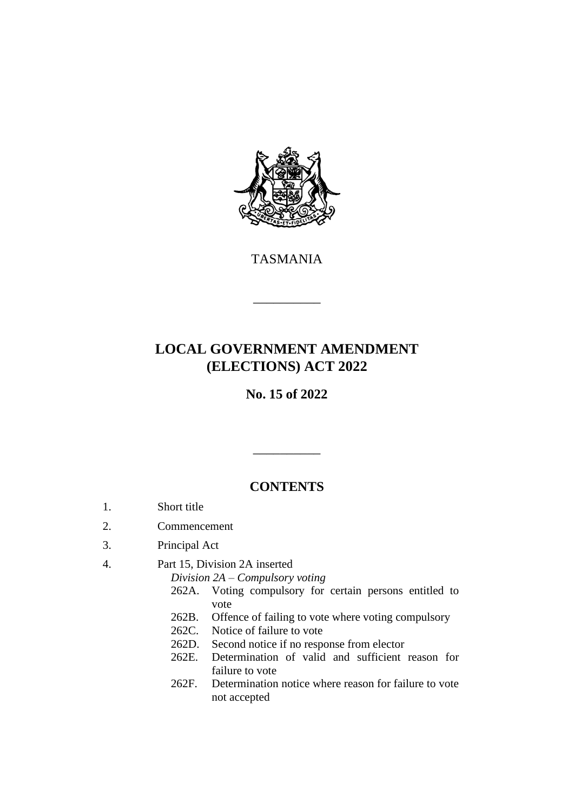

TASMANIA

\_\_\_\_\_\_\_\_\_\_

# **LOCAL GOVERNMENT AMENDMENT (ELECTIONS) ACT 2022**

**No. 15 of 2022**

# **CONTENTS**

\_\_\_\_\_\_\_\_\_\_

- 1. Short title
- 2. Commencement
- 3. Principal Act
- 4. Part 15, Division 2A inserted

*Division 2A – Compulsory voting*

- 262A. Voting compulsory for certain persons entitled to vote
- 262B. Offence of failing to vote where voting compulsory
- 262C. Notice of failure to vote
- 262D. Second notice if no response from elector
- 262E. Determination of valid and sufficient reason for failure to vote
- 262F. Determination notice where reason for failure to vote not accepted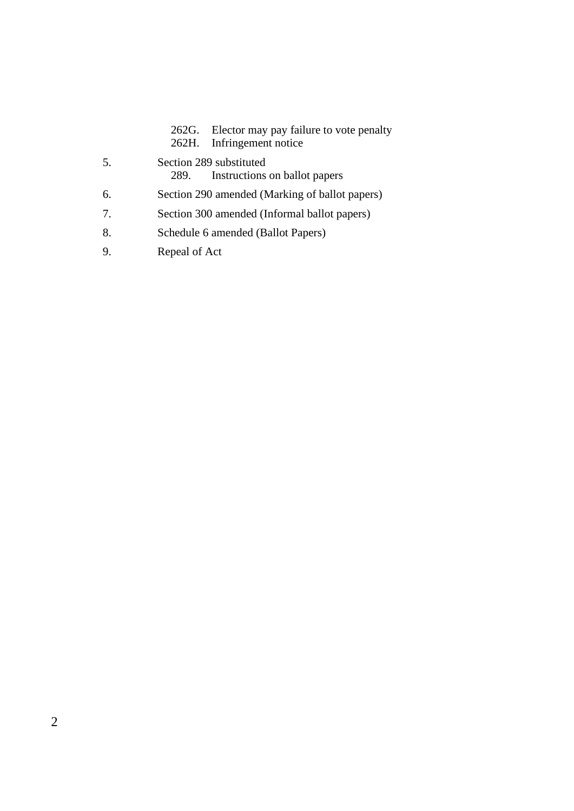262G. Elector may pay failure to vote penalty<br>262H. Infringement notice Infringement notice

- 5. Section 289 substituted<br>289. Instructions Instructions on ballot papers
- 6. Section 290 amended (Marking of ballot papers)
- 7. Section 300 amended (Informal ballot papers)
- 8. Schedule 6 amended (Ballot Papers)
- 9. Repeal of Act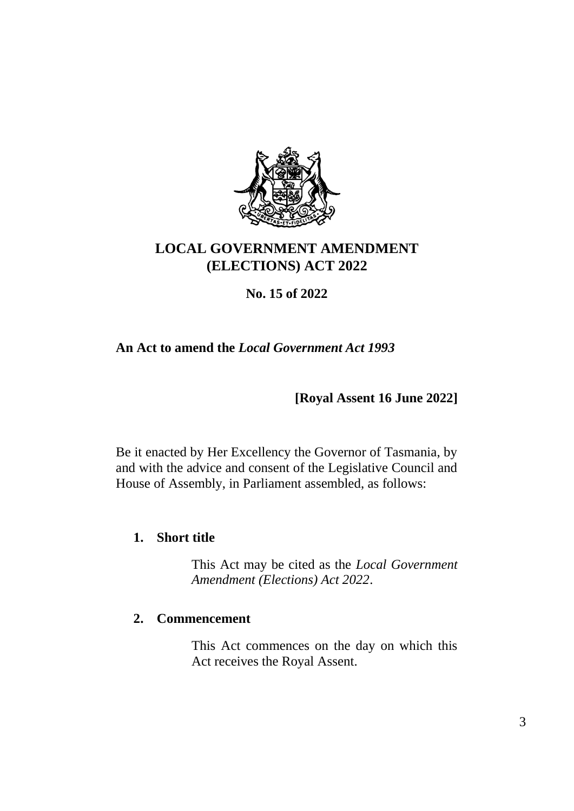

# **LOCAL GOVERNMENT AMENDMENT (ELECTIONS) ACT 2022**

# **No. 15 of 2022**

# **An Act to amend the** *Local Government Act 1993*

**[Royal Assent 16 June 2022]**

Be it enacted by Her Excellency the Governor of Tasmania, by and with the advice and consent of the Legislative Council and House of Assembly, in Parliament assembled, as follows:

## **1. Short title**

This Act may be cited as the *Local Government Amendment (Elections) Act 2022*.

## **2. Commencement**

This Act commences on the day on which this Act receives the Royal Assent.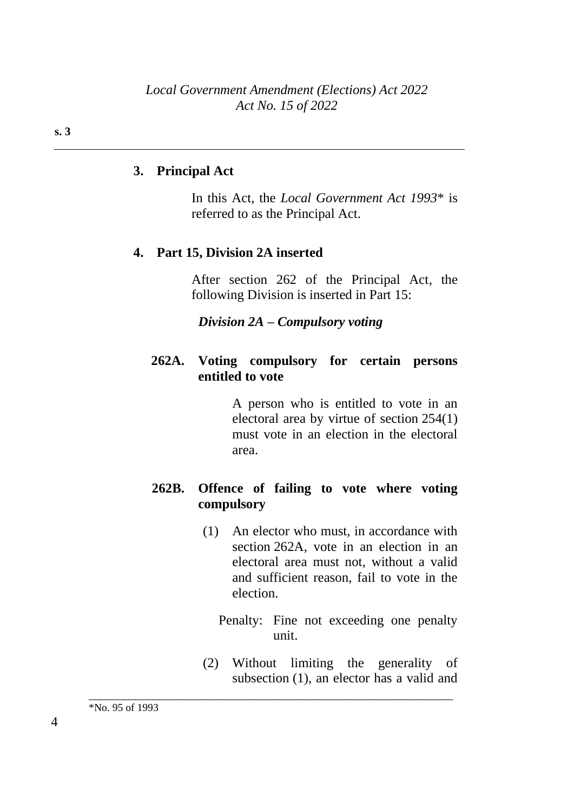## **3. Principal Act**

In this Act, the *Local Government Act 1993*\* is referred to as the Principal Act.

#### **4. Part 15, Division 2A inserted**

After section 262 of the Principal Act, the following Division is inserted in Part 15:

*Division 2A – Compulsory voting*

#### **262A. Voting compulsory for certain persons entitled to vote**

A person who is entitled to vote in an electoral area by virtue of section 254(1) must vote in an election in the electoral area.

## **262B. Offence of failing to vote where voting compulsory**

- (1) An elector who must, in accordance with section 262A, vote in an election in an electoral area must not, without a valid and sufficient reason, fail to vote in the election.
	- Penalty: Fine not exceeding one penalty unit.
- (2) Without limiting the generality of subsection (1), an elector has a valid and

\_\_\_\_\_\_\_\_\_\_\_\_\_\_\_\_\_\_\_\_\_\_\_\_\_\_\_\_\_\_\_\_\_\_\_\_\_\_\_\_\_\_\_\_\_\_\_\_\_\_\_\_\_\_\_\_\_\_\_\_\_\_\_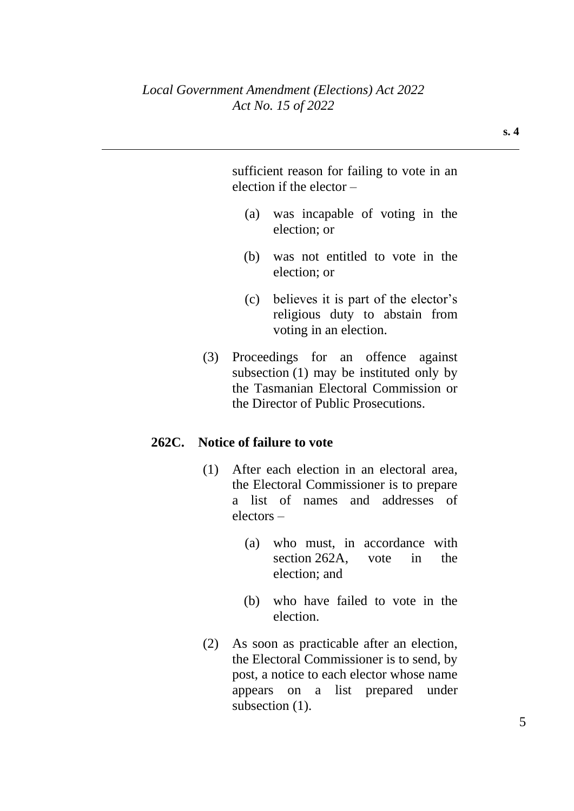sufficient reason for failing to vote in an election if the elector –

- (a) was incapable of voting in the election; or
- (b) was not entitled to vote in the election; or
- (c) believes it is part of the elector's religious duty to abstain from voting in an election.
- (3) Proceedings for an offence against subsection (1) may be instituted only by the Tasmanian Electoral Commission or the Director of Public Prosecutions.

## **262C. Notice of failure to vote**

- (1) After each election in an electoral area, the Electoral Commissioner is to prepare a list of names and addresses of electors –
	- (a) who must, in accordance with section 262A, vote in the election; and
	- (b) who have failed to vote in the election.
- (2) As soon as practicable after an election, the Electoral Commissioner is to send, by post, a notice to each elector whose name appears on a list prepared under subsection  $(1)$ .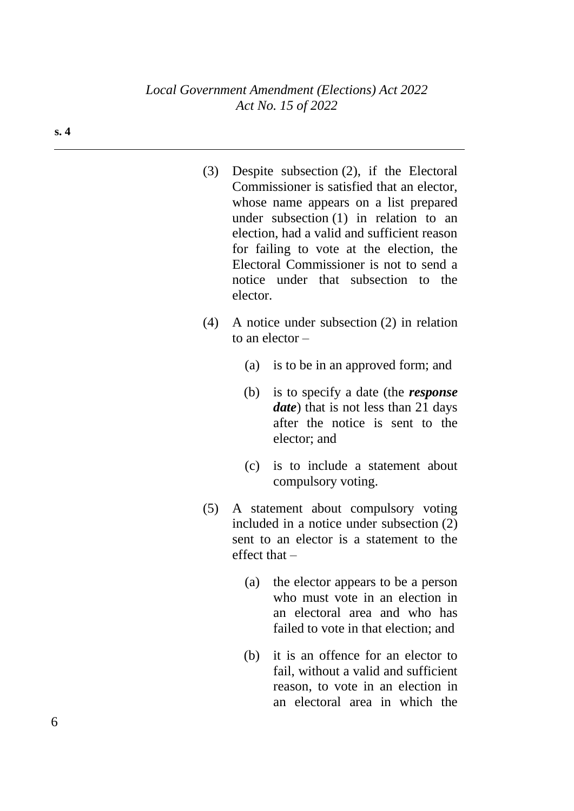| (3) | Despite subsection $(2)$ , if the Electoral |
|-----|---------------------------------------------|
|     | Commissioner is satisfied that an elector,  |
|     | whose name appears on a list prepared       |
|     | under subsection $(1)$ in relation to an    |
|     | election, had a valid and sufficient reason |
|     | for failing to vote at the election, the    |
|     | Electoral Commissioner is not to send a     |
|     | notice under that subsection to the         |
|     | elector                                     |

- (4) A notice under subsection (2) in relation to an elector –
	- (a) is to be in an approved form; and
	- (b) is to specify a date (the *response date*) that is not less than 21 days after the notice is sent to the elector; and
	- (c) is to include a statement about compulsory voting.
- (5) A statement about compulsory voting included in a notice under subsection (2) sent to an elector is a statement to the effect that –
	- (a) the elector appears to be a person who must vote in an election in an electoral area and who has failed to vote in that election; and
	- (b) it is an offence for an elector to fail, without a valid and sufficient reason, to vote in an election in an electoral area in which the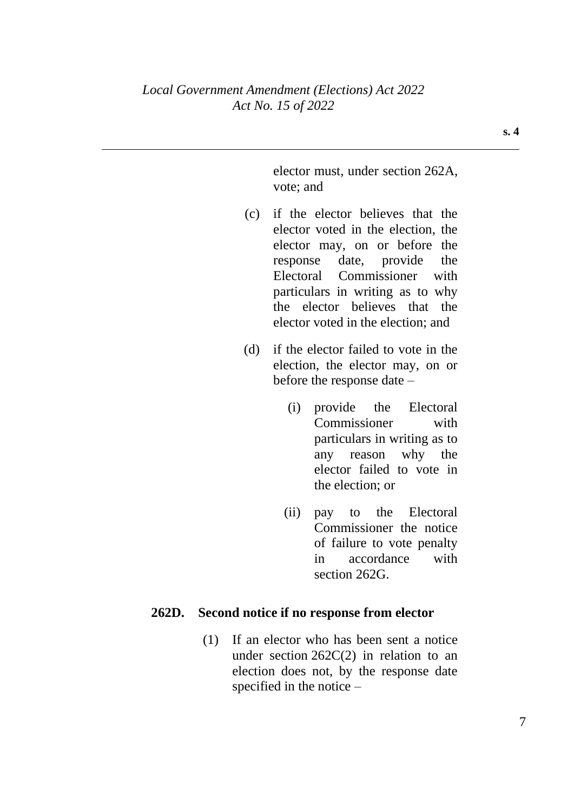elector must, under section 262A, vote; and

- (c) if the elector believes that the elector voted in the election, the elector may, on or before the response date, provide the Electoral Commissioner with particulars in writing as to why the elector believes that the elector voted in the election; and
- (d) if the elector failed to vote in the election, the elector may, on or before the response date –
	- (i) provide the Electoral Commissioner with particulars in writing as to any reason why the elector failed to vote in the election; or
	- (ii) pay to the Electoral Commissioner the notice of failure to vote penalty in accordance with section 262G.

## **262D. Second notice if no response from elector**

(1) If an elector who has been sent a notice under section  $262C(2)$  in relation to an election does not, by the response date specified in the notice –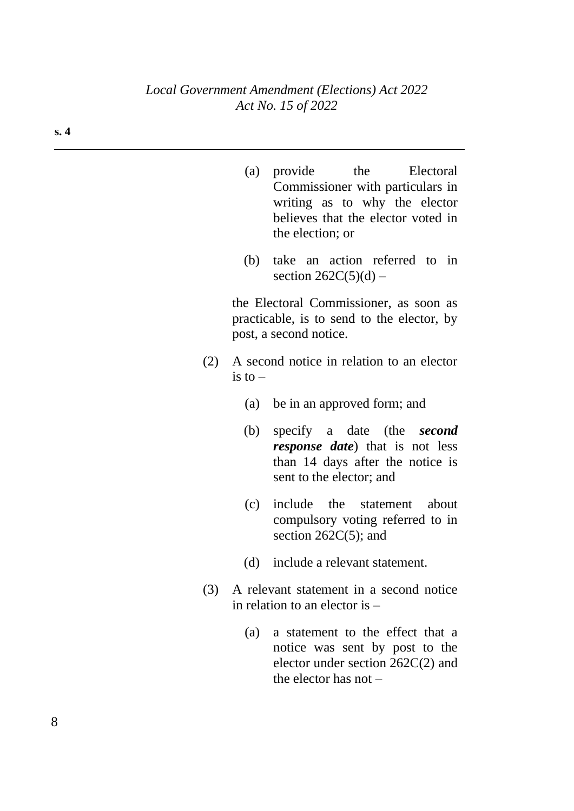- (a) provide the Electoral Commissioner with particulars in writing as to why the elector believes that the elector voted in the election; or
- (b) take an action referred to in section  $262C(5)(d)$  –

the Electoral Commissioner, as soon as practicable, is to send to the elector, by post, a second notice.

- (2) A second notice in relation to an elector is to  $-$ 
	- (a) be in an approved form; and
	- (b) specify a date (the *second response date*) that is not less than 14 days after the notice is sent to the elector; and
	- (c) include the statement about compulsory voting referred to in section 262C(5); and
	- (d) include a relevant statement.
- (3) A relevant statement in a second notice in relation to an elector is –
	- (a) a statement to the effect that a notice was sent by post to the elector under section 262C(2) and the elector has not –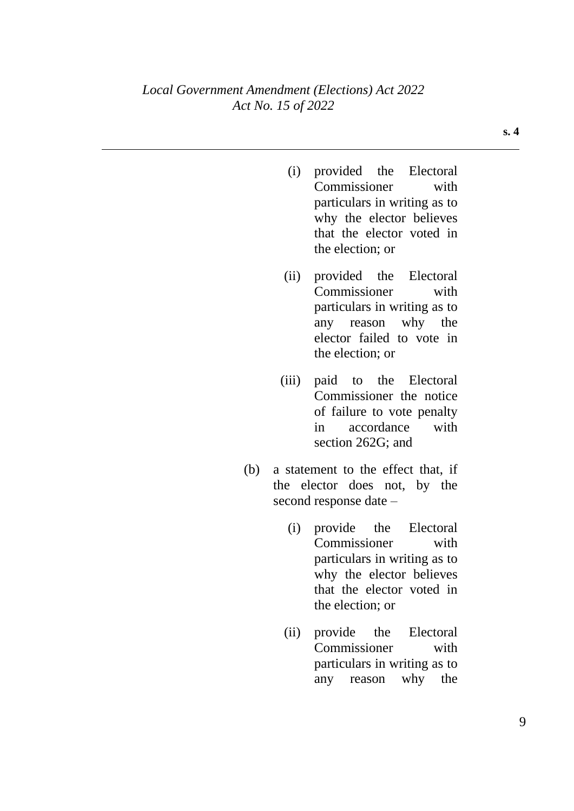- (i) provided the Electoral Commissioner with particulars in writing as to why the elector believes that the elector voted in the election; or
- (ii) provided the Electoral Commissioner with particulars in writing as to any reason why the elector failed to vote in the election; or
- (iii) paid to the Electoral Commissioner the notice of failure to vote penalty in accordance with section 262G; and
- (b) a statement to the effect that, if the elector does not, by the second response date –
	- (i) provide the Electoral Commissioner with particulars in writing as to why the elector believes that the elector voted in the election; or
	- (ii) provide the Electoral Commissioner with particulars in writing as to any reason why the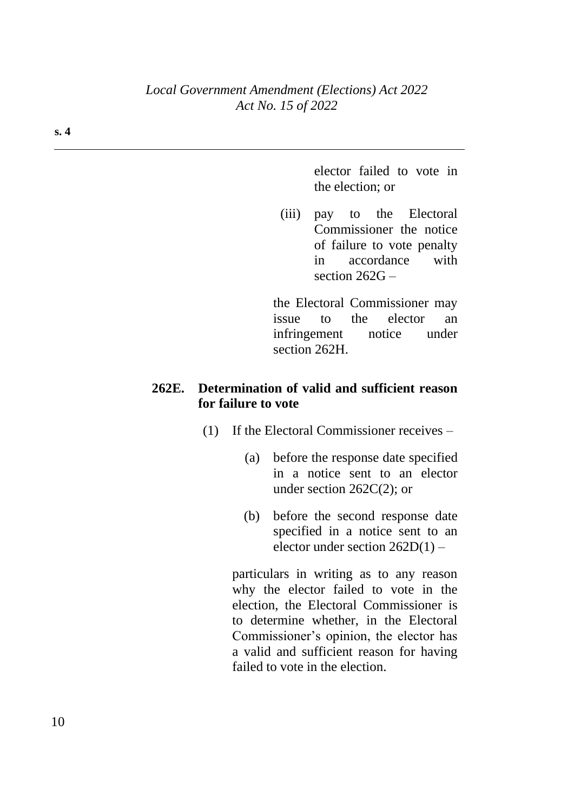elector failed to vote in the election; or

(iii) pay to the Electoral Commissioner the notice of failure to vote penalty in accordance with section 262G –

the Electoral Commissioner may issue to the elector an infringement notice under section 262H.

## **262E. Determination of valid and sufficient reason for failure to vote**

- (1) If the Electoral Commissioner receives
	- (a) before the response date specified in a notice sent to an elector under section 262C(2); or
	- (b) before the second response date specified in a notice sent to an elector under section 262D(1) –

particulars in writing as to any reason why the elector failed to vote in the election, the Electoral Commissioner is to determine whether, in the Electoral Commissioner's opinion, the elector has a valid and sufficient reason for having failed to vote in the election.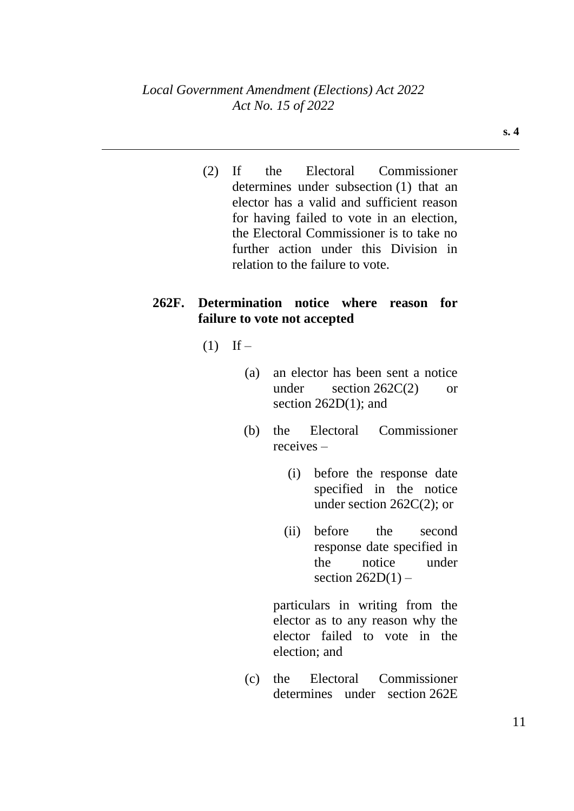(2) If the Electoral Commissioner determines under subsection (1) that an elector has a valid and sufficient reason for having failed to vote in an election, the Electoral Commissioner is to take no further action under this Division in relation to the failure to vote.

## **262F. Determination notice where reason for failure to vote not accepted**

- $(1)$  If
	- (a) an elector has been sent a notice under section  $262C(2)$  or section 262D(1); and
	- (b) the Electoral Commissioner receives –
		- (i) before the response date specified in the notice under section 262C(2); or
		- (ii) before the second response date specified in the notice under section  $262D(1)$  –

particulars in writing from the elector as to any reason why the elector failed to vote in the election; and

(c) the Electoral Commissioner determines under section 262E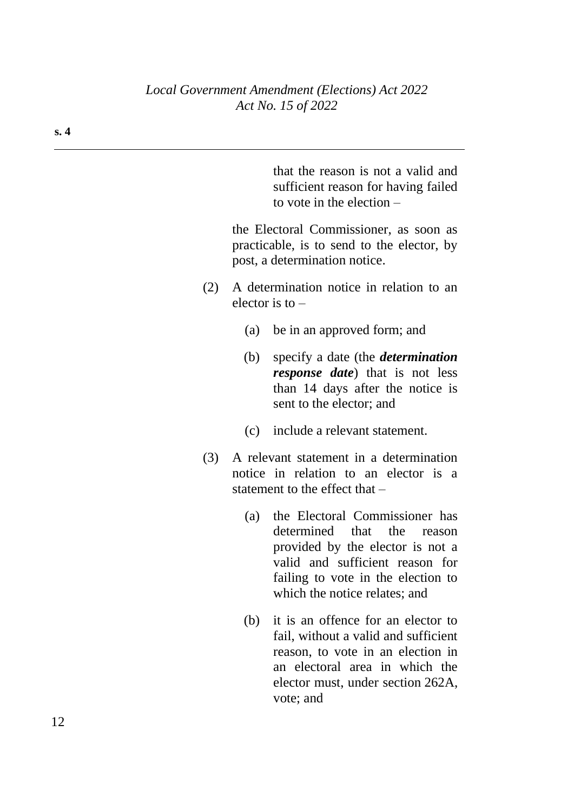that the reason is not a valid and sufficient reason for having failed to vote in the election –

the Electoral Commissioner, as soon as practicable, is to send to the elector, by post, a determination notice.

- (2) A determination notice in relation to an elector is to –
	- (a) be in an approved form; and
	- (b) specify a date (the *determination response date*) that is not less than 14 days after the notice is sent to the elector; and
	- (c) include a relevant statement.
- (3) A relevant statement in a determination notice in relation to an elector is a statement to the effect that –
	- (a) the Electoral Commissioner has determined that the reason provided by the elector is not a valid and sufficient reason for failing to vote in the election to which the notice relates; and
	- (b) it is an offence for an elector to fail, without a valid and sufficient reason, to vote in an election in an electoral area in which the elector must, under section 262A, vote; and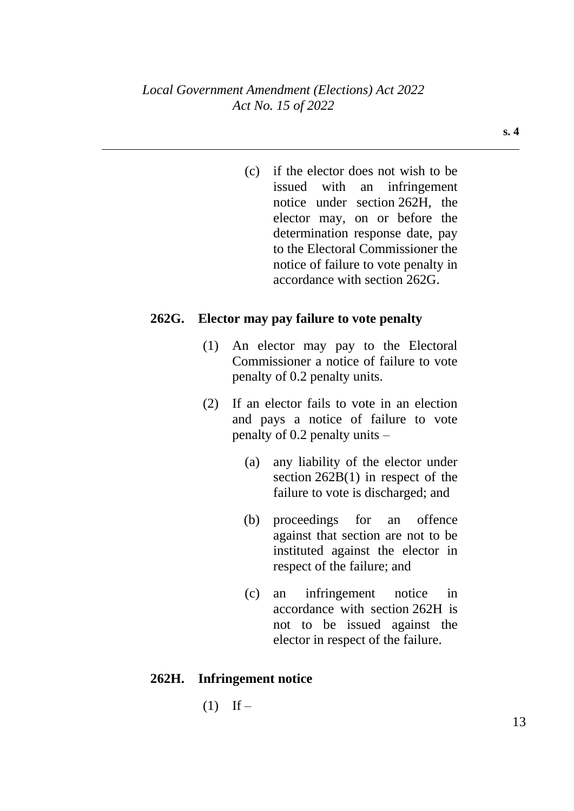**s. 4**

(c) if the elector does not wish to be issued with an infringement notice under section 262H, the elector may, on or before the determination response date, pay to the Electoral Commissioner the notice of failure to vote penalty in accordance with section 262G.

#### **262G. Elector may pay failure to vote penalty**

- (1) An elector may pay to the Electoral Commissioner a notice of failure to vote penalty of 0.2 penalty units.
- (2) If an elector fails to vote in an election and pays a notice of failure to vote penalty of 0.2 penalty units –
	- (a) any liability of the elector under section 262B(1) in respect of the failure to vote is discharged; and
	- (b) proceedings for an offence against that section are not to be instituted against the elector in respect of the failure; and
	- (c) an infringement notice in accordance with section 262H is not to be issued against the elector in respect of the failure.

#### **262H. Infringement notice**

 $(1)$  If –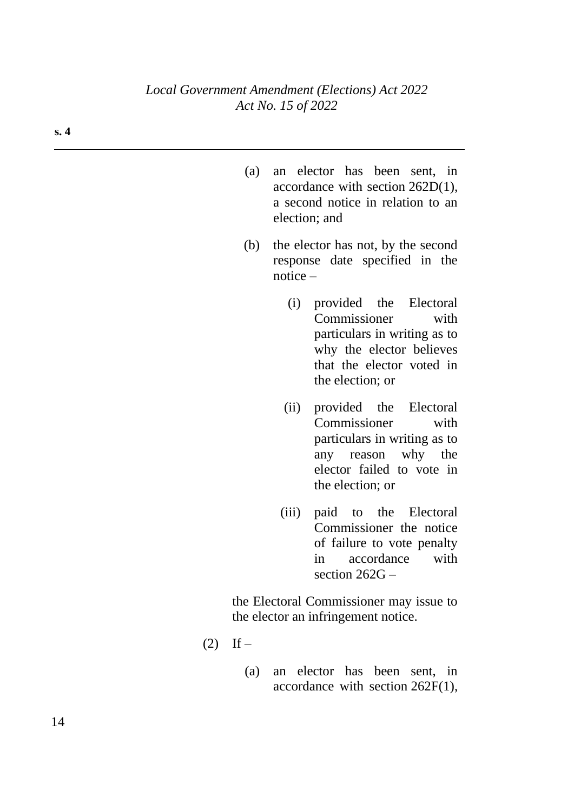- (a) an elector has been sent, in accordance with section 262D(1), a second notice in relation to an election; and
- (b) the elector has not, by the second response date specified in the notice –
	- (i) provided the Electoral Commissioner with particulars in writing as to why the elector believes that the elector voted in the election; or
	- (ii) provided the Electoral Commissioner with particulars in writing as to any reason why the elector failed to vote in the election; or
	- (iii) paid to the Electoral Commissioner the notice of failure to vote penalty in accordance with section 262G –

the Electoral Commissioner may issue to the elector an infringement notice.

- $(2)$  If
	- (a) an elector has been sent, in accordance with section 262F(1),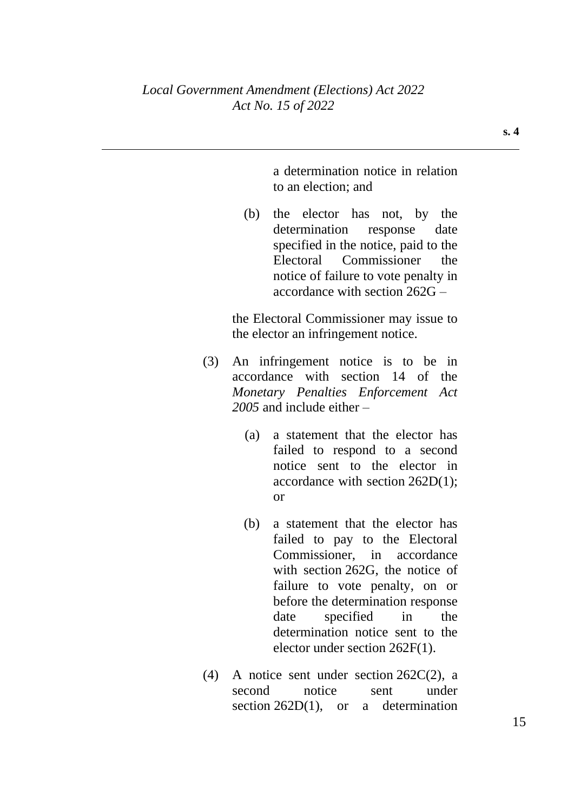a determination notice in relation to an election; and

(b) the elector has not, by the determination response date specified in the notice, paid to the Electoral Commissioner the notice of failure to vote penalty in accordance with section 262G –

the Electoral Commissioner may issue to the elector an infringement notice.

- (3) An infringement notice is to be in accordance with section 14 of the *Monetary Penalties Enforcement Act 2005* and include either –
	- (a) a statement that the elector has failed to respond to a second notice sent to the elector in accordance with section 262D(1); or
	- (b) a statement that the elector has failed to pay to the Electoral Commissioner, in accordance with section 262G, the notice of failure to vote penalty, on or before the determination response date specified in the determination notice sent to the elector under section 262F(1).
- (4) A notice sent under section 262C(2), a second notice sent under section 262D(1), or a determination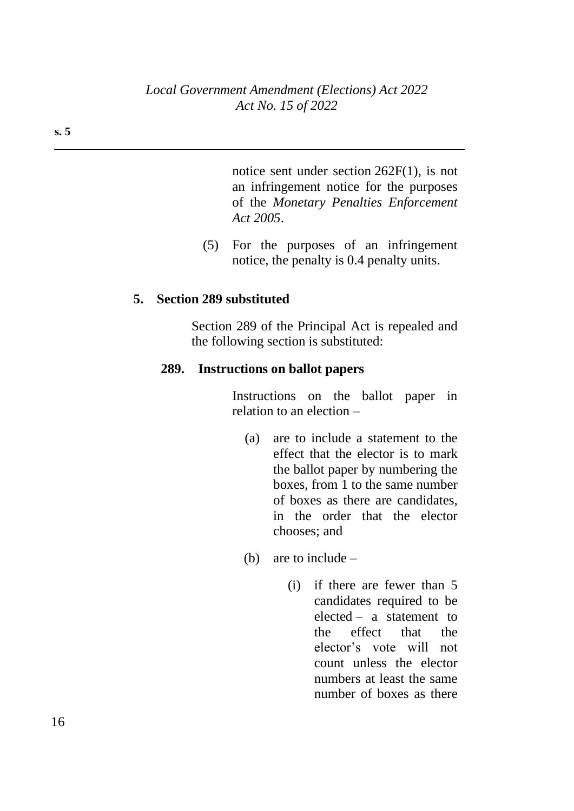notice sent under section 262F(1), is not an infringement notice for the purposes of the *Monetary Penalties Enforcement Act 2005*.

(5) For the purposes of an infringement notice, the penalty is 0.4 penalty units.

#### **5. Section 289 substituted**

Section 289 of the Principal Act is repealed and the following section is substituted:

#### **289. Instructions on ballot papers**

Instructions on the ballot paper in relation to an election –

- (a) are to include a statement to the effect that the elector is to mark the ballot paper by numbering the boxes, from 1 to the same number of boxes as there are candidates, in the order that the elector chooses; and
- (b) are to include
	- (i) if there are fewer than 5 candidates required to be elected – a statement to the effect that the elector's vote will not count unless the elector numbers at least the same number of boxes as there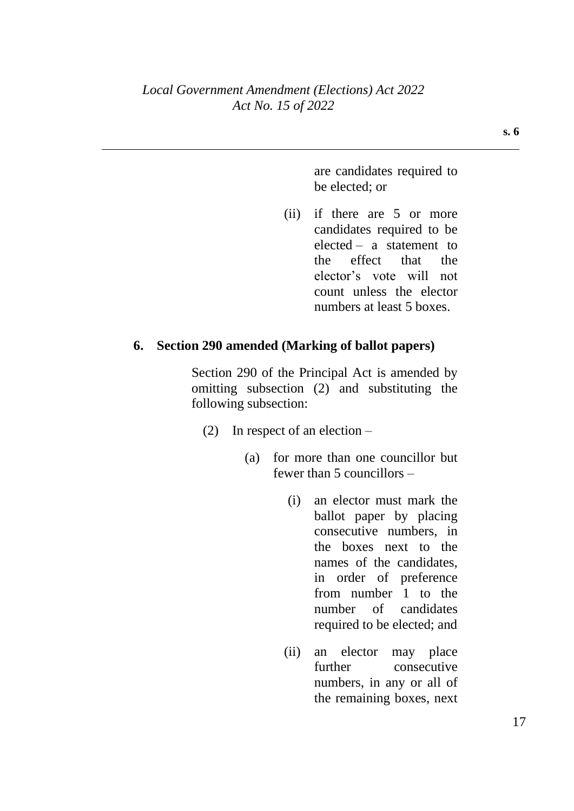are candidates required to be elected; or

(ii) if there are 5 or more candidates required to be elected – a statement to the effect that the elector's vote will not count unless the elector numbers at least 5 boxes.

#### **6. Section 290 amended (Marking of ballot papers)**

Section 290 of the Principal Act is amended by omitting subsection (2) and substituting the following subsection:

- (2) In respect of an election
	- (a) for more than one councillor but fewer than 5 councillors –
		- (i) an elector must mark the ballot paper by placing consecutive numbers, in the boxes next to the names of the candidates, in order of preference from number 1 to the number of candidates required to be elected; and
		- (ii) an elector may place further consecutive numbers, in any or all of the remaining boxes, next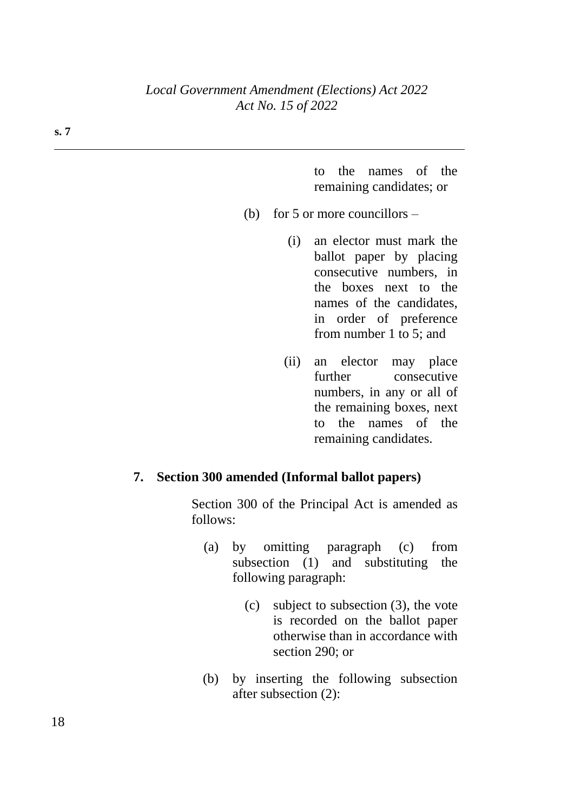#### *Local Government Amendment (Elections) Act 2022 Act No. 15 of 2022*

to the names of the remaining candidates; or

- (b) for 5 or more councillors
	- (i) an elector must mark the ballot paper by placing consecutive numbers, in the boxes next to the names of the candidates, in order of preference from number 1 to 5; and
	- (ii) an elector may place further consecutive numbers, in any or all of the remaining boxes, next to the names of the remaining candidates.

#### **7. Section 300 amended (Informal ballot papers)**

Section 300 of the Principal Act is amended as follows:

- (a) by omitting paragraph (c) from subsection (1) and substituting the following paragraph:
	- (c) subject to subsection (3), the vote is recorded on the ballot paper otherwise than in accordance with section 290; or
- (b) by inserting the following subsection after subsection (2):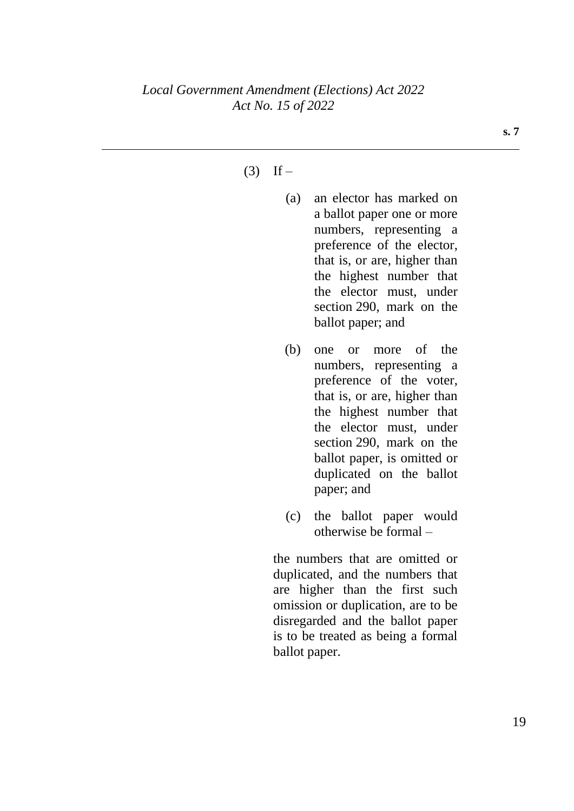#### $(3)$  If –

- (a) an elector has marked on a ballot paper one or more numbers, representing a preference of the elector, that is, or are, higher than the highest number that the elector must, under section 290, mark on the ballot paper; and
- (b) one or more of the numbers, representing a preference of the voter, that is, or are, higher than the highest number that the elector must, under section 290, mark on the ballot paper, is omitted or duplicated on the ballot paper; and
- (c) the ballot paper would otherwise be formal –

the numbers that are omitted or duplicated, and the numbers that are higher than the first such omission or duplication, are to be disregarded and the ballot paper is to be treated as being a formal ballot paper.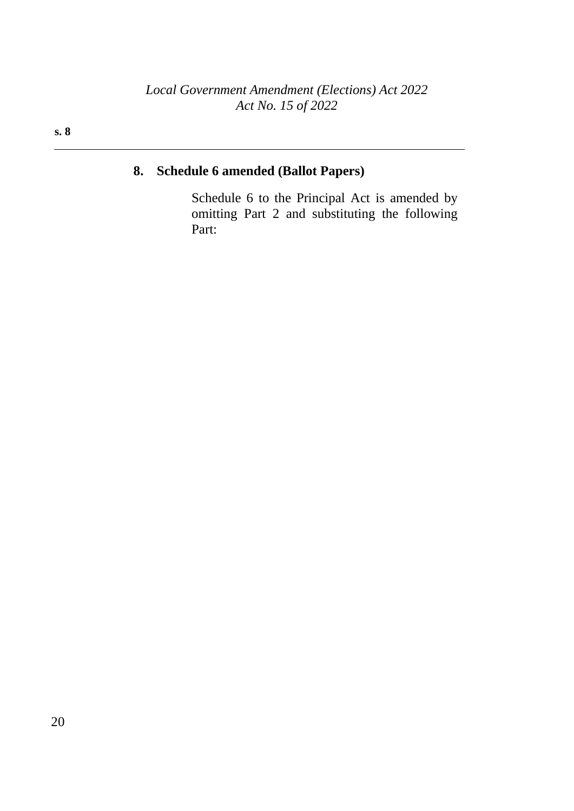# **8. Schedule 6 amended (Ballot Papers)**

Schedule 6 to the Principal Act is amended by omitting Part 2 and substituting the following Part: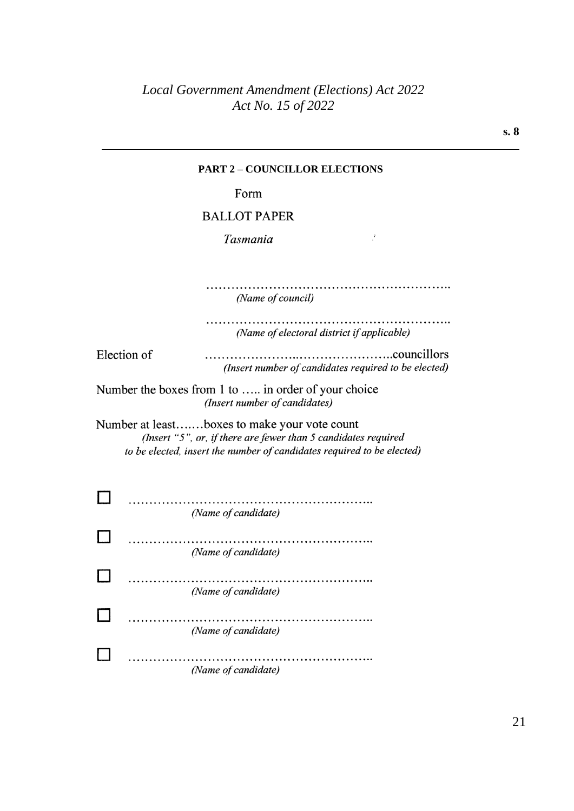| <b>PART 2 - COUNCILLOR ELECTIONS</b>                                                                                                                                                       |
|--------------------------------------------------------------------------------------------------------------------------------------------------------------------------------------------|
| Form                                                                                                                                                                                       |
| <b>BALLOT PAPER</b>                                                                                                                                                                        |
| Tasmania                                                                                                                                                                                   |
| (Name of council)                                                                                                                                                                          |
| (Name of electoral district if applicable)                                                                                                                                                 |
| Election of<br>(Insert number of candidates required to be elected)                                                                                                                        |
| Number the boxes from 1 to  in order of your choice<br>(Insert number of candidates)                                                                                                       |
| Number at leastboxes to make your vote count<br>(Insert "5", or, if there are fewer than $5$ candidates required<br>to be elected, insert the number of candidates required to be elected) |
| (Name of candidate)                                                                                                                                                                        |
| .<br>(Name of candidate)                                                                                                                                                                   |
| (Name of candidate)                                                                                                                                                                        |
| (Name of candidate)                                                                                                                                                                        |
| (Name of candidate)                                                                                                                                                                        |
|                                                                                                                                                                                            |